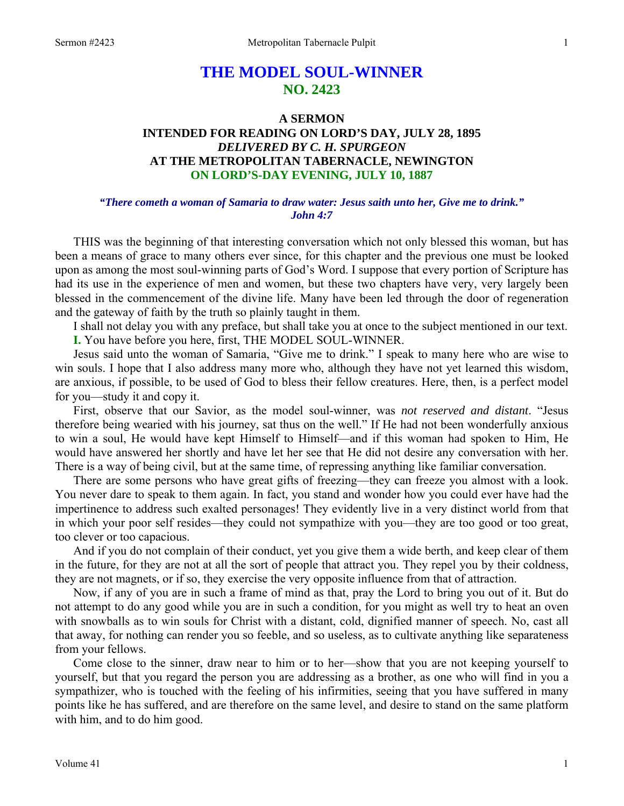# **THE MODEL SOUL-WINNER NO. 2423**

## **A SERMON INTENDED FOR READING ON LORD'S DAY, JULY 28, 1895**  *DELIVERED BY C. H. SPURGEON*  **AT THE METROPOLITAN TABERNACLE, NEWINGTON ON LORD'S-DAY EVENING, JULY 10, 1887**

#### *"There cometh a woman of Samaria to draw water: Jesus saith unto her, Give me to drink." John 4:7*

THIS was the beginning of that interesting conversation which not only blessed this woman, but has been a means of grace to many others ever since, for this chapter and the previous one must be looked upon as among the most soul-winning parts of God's Word. I suppose that every portion of Scripture has had its use in the experience of men and women, but these two chapters have very, very largely been blessed in the commencement of the divine life. Many have been led through the door of regeneration and the gateway of faith by the truth so plainly taught in them.

I shall not delay you with any preface, but shall take you at once to the subject mentioned in our text.

**I.** You have before you here, first, THE MODEL SOUL-WINNER.

Jesus said unto the woman of Samaria, "Give me to drink." I speak to many here who are wise to win souls. I hope that I also address many more who, although they have not yet learned this wisdom, are anxious, if possible, to be used of God to bless their fellow creatures. Here, then, is a perfect model for you—study it and copy it.

First, observe that our Savior, as the model soul-winner, was *not reserved and distant*. "Jesus therefore being wearied with his journey, sat thus on the well." If He had not been wonderfully anxious to win a soul, He would have kept Himself to Himself—and if this woman had spoken to Him, He would have answered her shortly and have let her see that He did not desire any conversation with her. There is a way of being civil, but at the same time, of repressing anything like familiar conversation.

There are some persons who have great gifts of freezing—they can freeze you almost with a look. You never dare to speak to them again. In fact, you stand and wonder how you could ever have had the impertinence to address such exalted personages! They evidently live in a very distinct world from that in which your poor self resides—they could not sympathize with you—they are too good or too great, too clever or too capacious.

And if you do not complain of their conduct, yet you give them a wide berth, and keep clear of them in the future, for they are not at all the sort of people that attract you. They repel you by their coldness, they are not magnets, or if so, they exercise the very opposite influence from that of attraction.

Now, if any of you are in such a frame of mind as that, pray the Lord to bring you out of it. But do not attempt to do any good while you are in such a condition, for you might as well try to heat an oven with snowballs as to win souls for Christ with a distant, cold, dignified manner of speech. No, cast all that away, for nothing can render you so feeble, and so useless, as to cultivate anything like separateness from your fellows.

Come close to the sinner, draw near to him or to her—show that you are not keeping yourself to yourself, but that you regard the person you are addressing as a brother, as one who will find in you a sympathizer, who is touched with the feeling of his infirmities, seeing that you have suffered in many points like he has suffered, and are therefore on the same level, and desire to stand on the same platform with him, and to do him good.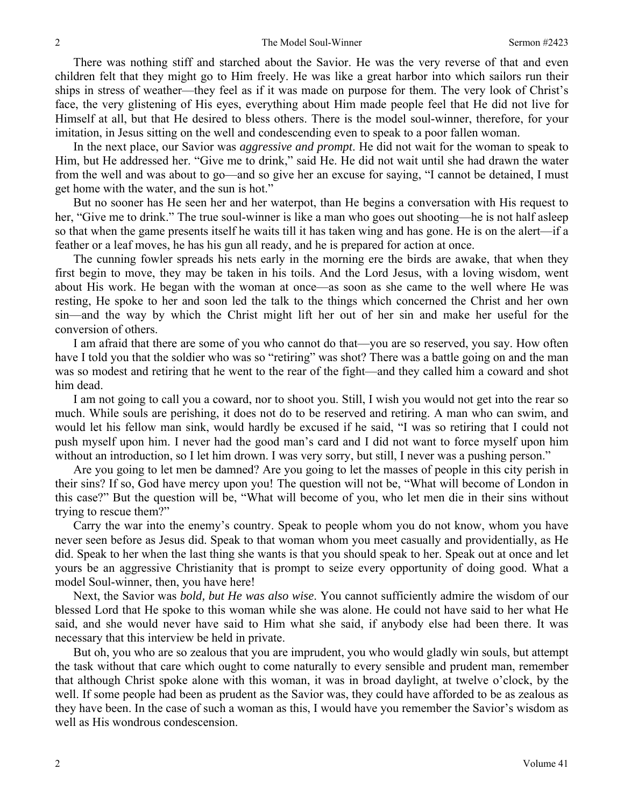There was nothing stiff and starched about the Savior. He was the very reverse of that and even children felt that they might go to Him freely. He was like a great harbor into which sailors run their ships in stress of weather—they feel as if it was made on purpose for them. The very look of Christ's face, the very glistening of His eyes, everything about Him made people feel that He did not live for Himself at all, but that He desired to bless others. There is the model soul-winner, therefore, for your imitation, in Jesus sitting on the well and condescending even to speak to a poor fallen woman.

In the next place, our Savior was *aggressive and prompt*. He did not wait for the woman to speak to Him, but He addressed her. "Give me to drink," said He. He did not wait until she had drawn the water from the well and was about to go—and so give her an excuse for saying, "I cannot be detained, I must get home with the water, and the sun is hot."

But no sooner has He seen her and her waterpot, than He begins a conversation with His request to her, "Give me to drink." The true soul-winner is like a man who goes out shooting—he is not half asleep so that when the game presents itself he waits till it has taken wing and has gone. He is on the alert—if a feather or a leaf moves, he has his gun all ready, and he is prepared for action at once.

The cunning fowler spreads his nets early in the morning ere the birds are awake, that when they first begin to move, they may be taken in his toils. And the Lord Jesus, with a loving wisdom, went about His work. He began with the woman at once—as soon as she came to the well where He was resting, He spoke to her and soon led the talk to the things which concerned the Christ and her own sin—and the way by which the Christ might lift her out of her sin and make her useful for the conversion of others.

I am afraid that there are some of you who cannot do that—you are so reserved, you say. How often have I told you that the soldier who was so "retiring" was shot? There was a battle going on and the man was so modest and retiring that he went to the rear of the fight—and they called him a coward and shot him dead.

I am not going to call you a coward, nor to shoot you. Still, I wish you would not get into the rear so much. While souls are perishing, it does not do to be reserved and retiring. A man who can swim, and would let his fellow man sink, would hardly be excused if he said, "I was so retiring that I could not push myself upon him. I never had the good man's card and I did not want to force myself upon him without an introduction, so I let him drown. I was very sorry, but still, I never was a pushing person."

Are you going to let men be damned? Are you going to let the masses of people in this city perish in their sins? If so, God have mercy upon you! The question will not be, "What will become of London in this case?" But the question will be, "What will become of you, who let men die in their sins without trying to rescue them?"

Carry the war into the enemy's country. Speak to people whom you do not know, whom you have never seen before as Jesus did. Speak to that woman whom you meet casually and providentially, as He did. Speak to her when the last thing she wants is that you should speak to her. Speak out at once and let yours be an aggressive Christianity that is prompt to seize every opportunity of doing good. What a model Soul-winner, then, you have here!

Next, the Savior was *bold, but He was also wise*. You cannot sufficiently admire the wisdom of our blessed Lord that He spoke to this woman while she was alone. He could not have said to her what He said, and she would never have said to Him what she said, if anybody else had been there. It was necessary that this interview be held in private.

But oh, you who are so zealous that you are imprudent, you who would gladly win souls, but attempt the task without that care which ought to come naturally to every sensible and prudent man, remember that although Christ spoke alone with this woman, it was in broad daylight, at twelve o'clock, by the well. If some people had been as prudent as the Savior was, they could have afforded to be as zealous as they have been. In the case of such a woman as this, I would have you remember the Savior's wisdom as well as His wondrous condescension.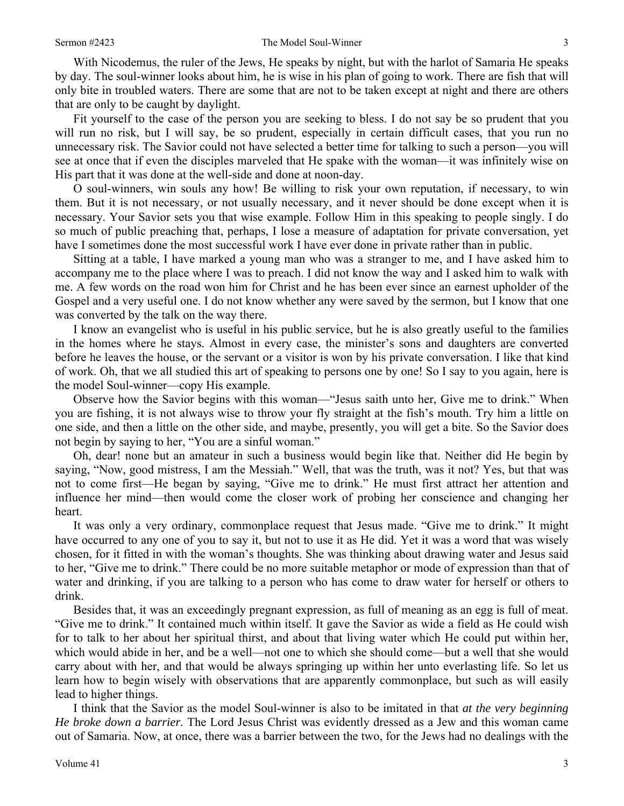With Nicodemus, the ruler of the Jews, He speaks by night, but with the harlot of Samaria He speaks by day. The soul-winner looks about him, he is wise in his plan of going to work. There are fish that will only bite in troubled waters. There are some that are not to be taken except at night and there are others that are only to be caught by daylight.

Fit yourself to the case of the person you are seeking to bless. I do not say be so prudent that you will run no risk, but I will say, be so prudent, especially in certain difficult cases, that you run no unnecessary risk. The Savior could not have selected a better time for talking to such a person—you will see at once that if even the disciples marveled that He spake with the woman—it was infinitely wise on His part that it was done at the well-side and done at noon-day.

O soul-winners, win souls any how! Be willing to risk your own reputation, if necessary, to win them. But it is not necessary, or not usually necessary, and it never should be done except when it is necessary. Your Savior sets you that wise example. Follow Him in this speaking to people singly. I do so much of public preaching that, perhaps, I lose a measure of adaptation for private conversation, yet have I sometimes done the most successful work I have ever done in private rather than in public.

Sitting at a table, I have marked a young man who was a stranger to me, and I have asked him to accompany me to the place where I was to preach. I did not know the way and I asked him to walk with me. A few words on the road won him for Christ and he has been ever since an earnest upholder of the Gospel and a very useful one. I do not know whether any were saved by the sermon, but I know that one was converted by the talk on the way there.

I know an evangelist who is useful in his public service, but he is also greatly useful to the families in the homes where he stays. Almost in every case, the minister's sons and daughters are converted before he leaves the house, or the servant or a visitor is won by his private conversation. I like that kind of work. Oh, that we all studied this art of speaking to persons one by one! So I say to you again, here is the model Soul-winner—copy His example.

Observe how the Savior begins with this woman—"Jesus saith unto her, Give me to drink." When you are fishing, it is not always wise to throw your fly straight at the fish's mouth. Try him a little on one side, and then a little on the other side, and maybe, presently, you will get a bite. So the Savior does not begin by saying to her, "You are a sinful woman."

Oh, dear! none but an amateur in such a business would begin like that. Neither did He begin by saying, "Now, good mistress, I am the Messiah." Well, that was the truth, was it not? Yes, but that was not to come first—He began by saying, "Give me to drink." He must first attract her attention and influence her mind—then would come the closer work of probing her conscience and changing her heart.

It was only a very ordinary, commonplace request that Jesus made. "Give me to drink." It might have occurred to any one of you to say it, but not to use it as He did. Yet it was a word that was wisely chosen, for it fitted in with the woman's thoughts. She was thinking about drawing water and Jesus said to her, "Give me to drink." There could be no more suitable metaphor or mode of expression than that of water and drinking, if you are talking to a person who has come to draw water for herself or others to drink.

Besides that, it was an exceedingly pregnant expression, as full of meaning as an egg is full of meat. "Give me to drink." It contained much within itself. It gave the Savior as wide a field as He could wish for to talk to her about her spiritual thirst, and about that living water which He could put within her, which would abide in her, and be a well—not one to which she should come—but a well that she would carry about with her, and that would be always springing up within her unto everlasting life. So let us learn how to begin wisely with observations that are apparently commonplace, but such as will easily lead to higher things.

I think that the Savior as the model Soul-winner is also to be imitated in that *at the very beginning He broke down a barrier.* The Lord Jesus Christ was evidently dressed as a Jew and this woman came out of Samaria. Now, at once, there was a barrier between the two, for the Jews had no dealings with the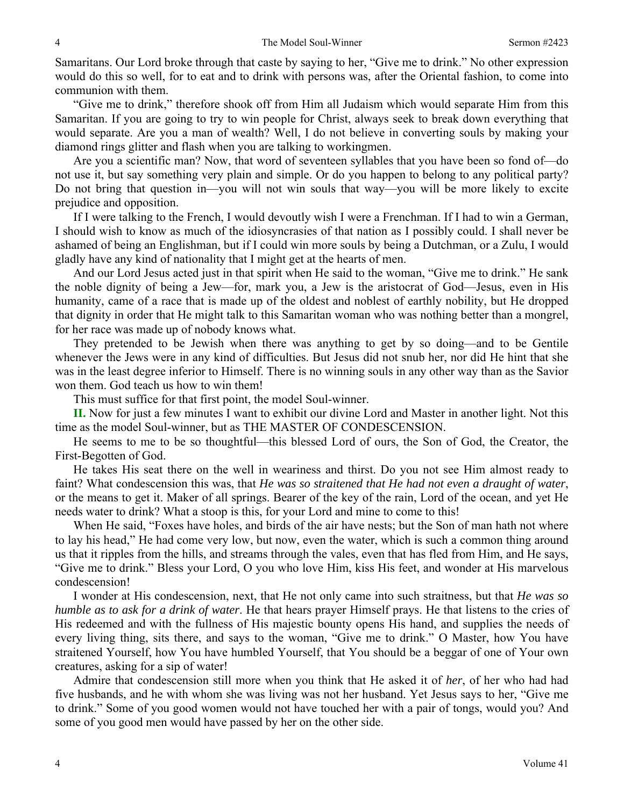Samaritans. Our Lord broke through that caste by saying to her, "Give me to drink." No other expression would do this so well, for to eat and to drink with persons was, after the Oriental fashion, to come into communion with them.

"Give me to drink," therefore shook off from Him all Judaism which would separate Him from this Samaritan. If you are going to try to win people for Christ, always seek to break down everything that would separate. Are you a man of wealth? Well, I do not believe in converting souls by making your diamond rings glitter and flash when you are talking to workingmen.

Are you a scientific man? Now, that word of seventeen syllables that you have been so fond of—do not use it, but say something very plain and simple. Or do you happen to belong to any political party? Do not bring that question in—you will not win souls that way—you will be more likely to excite prejudice and opposition.

If I were talking to the French, I would devoutly wish I were a Frenchman. If I had to win a German, I should wish to know as much of the idiosyncrasies of that nation as I possibly could. I shall never be ashamed of being an Englishman, but if I could win more souls by being a Dutchman, or a Zulu, I would gladly have any kind of nationality that I might get at the hearts of men.

And our Lord Jesus acted just in that spirit when He said to the woman, "Give me to drink." He sank the noble dignity of being a Jew—for, mark you, a Jew is the aristocrat of God—Jesus, even in His humanity, came of a race that is made up of the oldest and noblest of earthly nobility, but He dropped that dignity in order that He might talk to this Samaritan woman who was nothing better than a mongrel, for her race was made up of nobody knows what.

They pretended to be Jewish when there was anything to get by so doing—and to be Gentile whenever the Jews were in any kind of difficulties. But Jesus did not snub her, nor did He hint that she was in the least degree inferior to Himself. There is no winning souls in any other way than as the Savior won them. God teach us how to win them!

This must suffice for that first point, the model Soul-winner.

**II.** Now for just a few minutes I want to exhibit our divine Lord and Master in another light. Not this time as the model Soul-winner, but as THE MASTER OF CONDESCENSION.

He seems to me to be so thoughtful—this blessed Lord of ours, the Son of God, the Creator, the First-Begotten of God.

He takes His seat there on the well in weariness and thirst. Do you not see Him almost ready to faint? What condescension this was, that *He was so straitened that He had not even a draught of water*, or the means to get it. Maker of all springs. Bearer of the key of the rain, Lord of the ocean, and yet He needs water to drink? What a stoop is this, for your Lord and mine to come to this!

When He said, "Foxes have holes, and birds of the air have nests; but the Son of man hath not where to lay his head," He had come very low, but now, even the water, which is such a common thing around us that it ripples from the hills, and streams through the vales, even that has fled from Him, and He says, "Give me to drink." Bless your Lord, O you who love Him, kiss His feet, and wonder at His marvelous condescension!

I wonder at His condescension, next, that He not only came into such straitness, but that *He was so humble as to ask for a drink of water*. He that hears prayer Himself prays. He that listens to the cries of His redeemed and with the fullness of His majestic bounty opens His hand, and supplies the needs of every living thing, sits there, and says to the woman, "Give me to drink." O Master, how You have straitened Yourself, how You have humbled Yourself, that You should be a beggar of one of Your own creatures, asking for a sip of water!

Admire that condescension still more when you think that He asked it of *her*, of her who had had five husbands, and he with whom she was living was not her husband. Yet Jesus says to her, "Give me to drink." Some of you good women would not have touched her with a pair of tongs, would you? And some of you good men would have passed by her on the other side.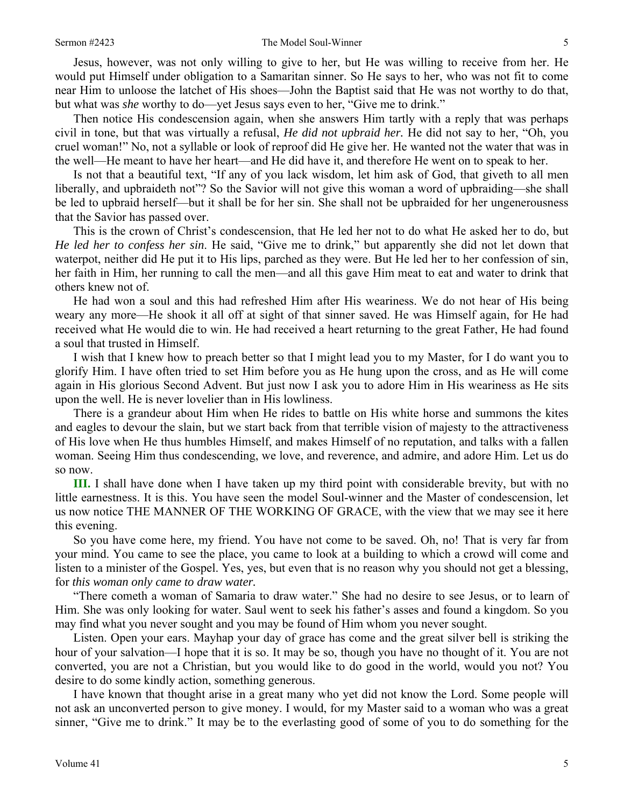#### Sermon #2423 The Model Soul-Winner 5

Jesus, however, was not only willing to give to her, but He was willing to receive from her. He would put Himself under obligation to a Samaritan sinner. So He says to her, who was not fit to come near Him to unloose the latchet of His shoes—John the Baptist said that He was not worthy to do that, but what was *she* worthy to do—yet Jesus says even to her, "Give me to drink."

Then notice His condescension again, when she answers Him tartly with a reply that was perhaps civil in tone, but that was virtually a refusal, *He did not upbraid her.* He did not say to her, "Oh, you cruel woman!" No, not a syllable or look of reproof did He give her. He wanted not the water that was in the well—He meant to have her heart—and He did have it, and therefore He went on to speak to her.

Is not that a beautiful text, "If any of you lack wisdom, let him ask of God, that giveth to all men liberally, and upbraideth not"? So the Savior will not give this woman a word of upbraiding—she shall be led to upbraid herself—but it shall be for her sin. She shall not be upbraided for her ungenerousness that the Savior has passed over.

This is the crown of Christ's condescension, that He led her not to do what He asked her to do, but *He led her to confess her sin*. He said, "Give me to drink," but apparently she did not let down that waterpot, neither did He put it to His lips, parched as they were. But He led her to her confession of sin, her faith in Him, her running to call the men—and all this gave Him meat to eat and water to drink that others knew not of.

He had won a soul and this had refreshed Him after His weariness. We do not hear of His being weary any more—He shook it all off at sight of that sinner saved. He was Himself again, for He had received what He would die to win. He had received a heart returning to the great Father, He had found a soul that trusted in Himself.

I wish that I knew how to preach better so that I might lead you to my Master, for I do want you to glorify Him. I have often tried to set Him before you as He hung upon the cross, and as He will come again in His glorious Second Advent. But just now I ask you to adore Him in His weariness as He sits upon the well. He is never lovelier than in His lowliness.

There is a grandeur about Him when He rides to battle on His white horse and summons the kites and eagles to devour the slain, but we start back from that terrible vision of majesty to the attractiveness of His love when He thus humbles Himself, and makes Himself of no reputation, and talks with a fallen woman. Seeing Him thus condescending, we love, and reverence, and admire, and adore Him. Let us do so now.

**III.** I shall have done when I have taken up my third point with considerable brevity, but with no little earnestness. It is this. You have seen the model Soul-winner and the Master of condescension, let us now notice THE MANNER OF THE WORKING OF GRACE, with the view that we may see it here this evening.

So you have come here, my friend. You have not come to be saved. Oh, no! That is very far from your mind. You came to see the place, you came to look at a building to which a crowd will come and listen to a minister of the Gospel. Yes, yes, but even that is no reason why you should not get a blessing, for *this woman only came to draw water.*

"There cometh a woman of Samaria to draw water." She had no desire to see Jesus, or to learn of Him. She was only looking for water. Saul went to seek his father's asses and found a kingdom. So you may find what you never sought and you may be found of Him whom you never sought.

Listen. Open your ears. Mayhap your day of grace has come and the great silver bell is striking the hour of your salvation—I hope that it is so. It may be so, though you have no thought of it. You are not converted, you are not a Christian, but you would like to do good in the world, would you not? You desire to do some kindly action, something generous.

I have known that thought arise in a great many who yet did not know the Lord. Some people will not ask an unconverted person to give money. I would, for my Master said to a woman who was a great sinner, "Give me to drink." It may be to the everlasting good of some of you to do something for the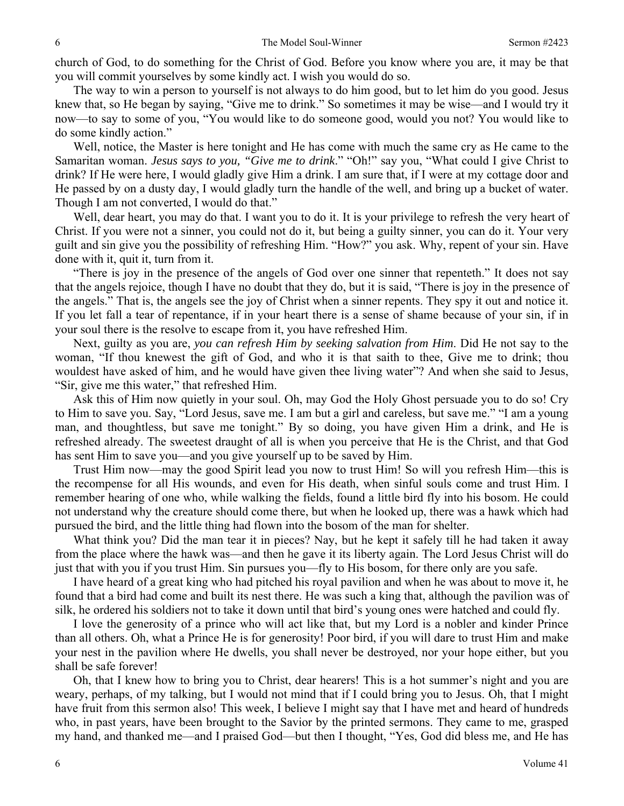church of God, to do something for the Christ of God. Before you know where you are, it may be that you will commit yourselves by some kindly act. I wish you would do so.

The way to win a person to yourself is not always to do him good, but to let him do you good. Jesus knew that, so He began by saying, "Give me to drink." So sometimes it may be wise—and I would try it now—to say to some of you, "You would like to do someone good, would you not? You would like to do some kindly action."

Well, notice, the Master is here tonight and He has come with much the same cry as He came to the Samaritan woman. *Jesus says to you, "Give me to drink*." "Oh!" say you, "What could I give Christ to drink? If He were here, I would gladly give Him a drink. I am sure that, if I were at my cottage door and He passed by on a dusty day, I would gladly turn the handle of the well, and bring up a bucket of water. Though I am not converted, I would do that."

Well, dear heart, you may do that. I want you to do it. It is your privilege to refresh the very heart of Christ. If you were not a sinner, you could not do it, but being a guilty sinner, you can do it. Your very guilt and sin give you the possibility of refreshing Him. "How?" you ask. Why, repent of your sin. Have done with it, quit it, turn from it.

"There is joy in the presence of the angels of God over one sinner that repenteth." It does not say that the angels rejoice, though I have no doubt that they do, but it is said, "There is joy in the presence of the angels." That is, the angels see the joy of Christ when a sinner repents. They spy it out and notice it. If you let fall a tear of repentance, if in your heart there is a sense of shame because of your sin, if in your soul there is the resolve to escape from it, you have refreshed Him.

Next, guilty as you are, *you can refresh Him by seeking salvation from Him*. Did He not say to the woman, "If thou knewest the gift of God, and who it is that saith to thee, Give me to drink; thou wouldest have asked of him, and he would have given thee living water"? And when she said to Jesus, "Sir, give me this water," that refreshed Him.

Ask this of Him now quietly in your soul. Oh, may God the Holy Ghost persuade you to do so! Cry to Him to save you. Say, "Lord Jesus, save me. I am but a girl and careless, but save me." "I am a young man, and thoughtless, but save me tonight." By so doing, you have given Him a drink, and He is refreshed already. The sweetest draught of all is when you perceive that He is the Christ, and that God has sent Him to save you—and you give yourself up to be saved by Him.

Trust Him now—may the good Spirit lead you now to trust Him! So will you refresh Him—this is the recompense for all His wounds, and even for His death, when sinful souls come and trust Him. I remember hearing of one who, while walking the fields, found a little bird fly into his bosom. He could not understand why the creature should come there, but when he looked up, there was a hawk which had pursued the bird, and the little thing had flown into the bosom of the man for shelter.

What think you? Did the man tear it in pieces? Nay, but he kept it safely till he had taken it away from the place where the hawk was—and then he gave it its liberty again. The Lord Jesus Christ will do just that with you if you trust Him. Sin pursues you—fly to His bosom, for there only are you safe.

I have heard of a great king who had pitched his royal pavilion and when he was about to move it, he found that a bird had come and built its nest there. He was such a king that, although the pavilion was of silk, he ordered his soldiers not to take it down until that bird's young ones were hatched and could fly.

I love the generosity of a prince who will act like that, but my Lord is a nobler and kinder Prince than all others. Oh, what a Prince He is for generosity! Poor bird, if you will dare to trust Him and make your nest in the pavilion where He dwells, you shall never be destroyed, nor your hope either, but you shall be safe forever!

Oh, that I knew how to bring you to Christ, dear hearers! This is a hot summer's night and you are weary, perhaps, of my talking, but I would not mind that if I could bring you to Jesus. Oh, that I might have fruit from this sermon also! This week, I believe I might say that I have met and heard of hundreds who, in past years, have been brought to the Savior by the printed sermons. They came to me, grasped my hand, and thanked me—and I praised God—but then I thought, "Yes, God did bless me, and He has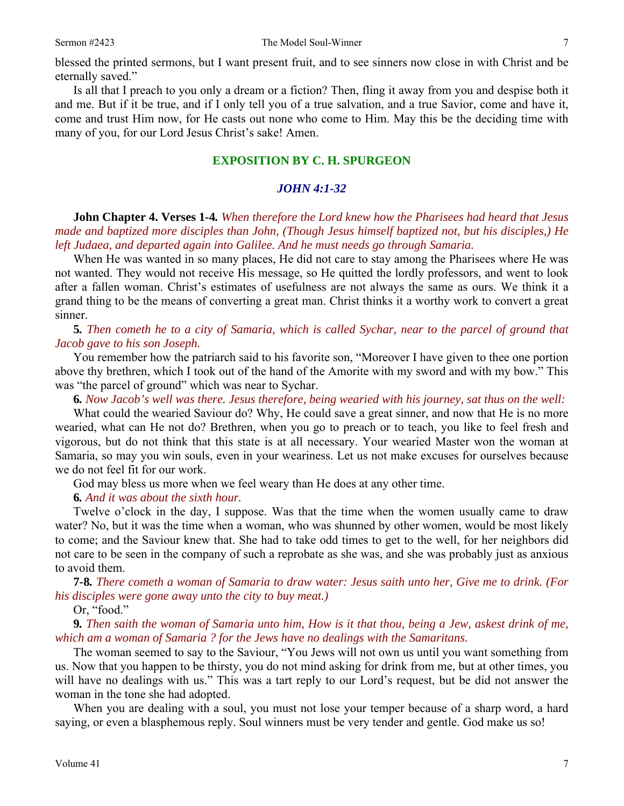blessed the printed sermons, but I want present fruit, and to see sinners now close in with Christ and be eternally saved."

Is all that I preach to you only a dream or a fiction? Then, fling it away from you and despise both it and me. But if it be true, and if I only tell you of a true salvation, and a true Savior, come and have it, come and trust Him now, for He casts out none who come to Him. May this be the deciding time with many of you, for our Lord Jesus Christ's sake! Amen.

#### **EXPOSITION BY C. H. SPURGEON**

#### *JOHN 4:1-32*

**John Chapter 4. Verses 1***-***4***. When therefore the Lord knew how the Pharisees had heard that Jesus made and baptized more disciples than John, (Though Jesus himself baptized not, but his disciples,) He left Judaea, and departed again into Galilee. And he must needs go through Samaria.*

When He was wanted in so many places, He did not care to stay among the Pharisees where He was not wanted. They would not receive His message, so He quitted the lordly professors, and went to look after a fallen woman. Christ's estimates of usefulness are not always the same as ours. We think it a grand thing to be the means of converting a great man. Christ thinks it a worthy work to convert a great sinner.

#### **5***. Then cometh he to a city of Samaria, which is called Sychar, near to the parcel of ground that Jacob gave to his son Joseph.*

You remember how the patriarch said to his favorite son, "Moreover I have given to thee one portion above thy brethren, which I took out of the hand of the Amorite with my sword and with my bow." This was "the parcel of ground" which was near to Sychar.

**6***. Now Jacob's well was there. Jesus therefore, being wearied with his journey, sat thus on the well:*

What could the wearied Saviour do? Why, He could save a great sinner, and now that He is no more wearied, what can He not do? Brethren, when you go to preach or to teach, you like to feel fresh and vigorous, but do not think that this state is at all necessary. Your wearied Master won the woman at Samaria, so may you win souls, even in your weariness. Let us not make excuses for ourselves because we do not feel fit for our work.

God may bless us more when we feel weary than He does at any other time.

#### **6***. And it was about the sixth hour.*

Twelve o'clock in the day, I suppose. Was that the time when the women usually came to draw water? No, but it was the time when a woman, who was shunned by other women, would be most likely to come; and the Saviour knew that. She had to take odd times to get to the well, for her neighbors did not care to be seen in the company of such a reprobate as she was, and she was probably just as anxious to avoid them.

**7***-***8***. There cometh a woman of Samaria to draw water: Jesus saith unto her, Give me to drink. (For his disciples were gone away unto the city to buy meat.)*

Or, "food."

**9***. Then saith the woman of Samaria unto him, How is it that thou, being a Jew, askest drink of me, which am a woman of Samaria ? for the Jews have no dealings with the Samaritans.*

The woman seemed to say to the Saviour, "You Jews will not own us until you want something from us. Now that you happen to be thirsty, you do not mind asking for drink from me, but at other times, you will have no dealings with us." This was a tart reply to our Lord's request, but be did not answer the woman in the tone she had adopted.

When you are dealing with a soul, you must not lose your temper because of a sharp word, a hard saying, or even a blasphemous reply. Soul winners must be very tender and gentle. God make us so!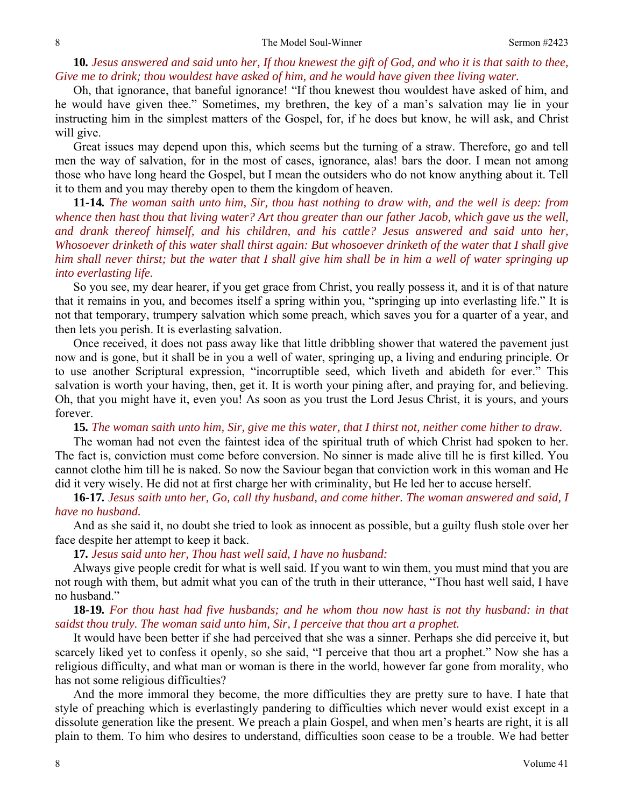## **10***. Jesus answered and said unto her, If thou knewest the gift of God, and who it is that saith to thee, Give me to drink; thou wouldest have asked of him, and he would have given thee living water.*

Oh, that ignorance, that baneful ignorance! "If thou knewest thou wouldest have asked of him, and he would have given thee." Sometimes, my brethren, the key of a man's salvation may lie in your instructing him in the simplest matters of the Gospel, for, if he does but know, he will ask, and Christ will give.

Great issues may depend upon this, which seems but the turning of a straw. Therefore, go and tell men the way of salvation, for in the most of cases, ignorance, alas! bars the door. I mean not among those who have long heard the Gospel, but I mean the outsiders who do not know anything about it. Tell it to them and you may thereby open to them the kingdom of heaven.

**11***-***14***. The woman saith unto him, Sir, thou hast nothing to draw with, and the well is deep: from whence then hast thou that living water? Art thou greater than our father Jacob, which gave us the well, and drank thereof himself, and his children, and his cattle? Jesus answered and said unto her, Whosoever drinketh of this water shall thirst again: But whosoever drinketh of the water that I shall give him shall never thirst; but the water that I shall give him shall be in him a well of water springing up into everlasting life.*

So you see, my dear hearer, if you get grace from Christ, you really possess it, and it is of that nature that it remains in you, and becomes itself a spring within you, "springing up into everlasting life." It is not that temporary, trumpery salvation which some preach, which saves you for a quarter of a year, and then lets you perish. It is everlasting salvation.

Once received, it does not pass away like that little dribbling shower that watered the pavement just now and is gone, but it shall be in you a well of water, springing up, a living and enduring principle. Or to use another Scriptural expression, "incorruptible seed, which liveth and abideth for ever." This salvation is worth your having, then, get it. It is worth your pining after, and praying for, and believing. Oh, that you might have it, even you! As soon as you trust the Lord Jesus Christ, it is yours, and yours forever.

**15***. The woman saith unto him, Sir, give me this water, that I thirst not, neither come hither to draw.*

The woman had not even the faintest idea of the spiritual truth of which Christ had spoken to her. The fact is, conviction must come before conversion. No sinner is made alive till he is first killed. You cannot clothe him till he is naked. So now the Saviour began that conviction work in this woman and He did it very wisely. He did not at first charge her with criminality, but He led her to accuse herself.

**16***-***17***. Jesus saith unto her, Go, call thy husband, and come hither. The woman answered and said, I have no husband.*

And as she said it, no doubt she tried to look as innocent as possible, but a guilty flush stole over her face despite her attempt to keep it back.

**17***. Jesus said unto her, Thou hast well said, I have no husband:* 

Always give people credit for what is well said. If you want to win them, you must mind that you are not rough with them, but admit what you can of the truth in their utterance, "Thou hast well said, I have no husband."

#### **18***-***19***. For thou hast had five husbands; and he whom thou now hast is not thy husband: in that saidst thou truly. The woman said unto him, Sir, I perceive that thou art a prophet.*

It would have been better if she had perceived that she was a sinner. Perhaps she did perceive it, but scarcely liked yet to confess it openly, so she said, "I perceive that thou art a prophet." Now she has a religious difficulty, and what man or woman is there in the world, however far gone from morality, who has not some religious difficulties?

And the more immoral they become, the more difficulties they are pretty sure to have. I hate that style of preaching which is everlastingly pandering to difficulties which never would exist except in a dissolute generation like the present. We preach a plain Gospel, and when men's hearts are right, it is all plain to them. To him who desires to understand, difficulties soon cease to be a trouble. We had better